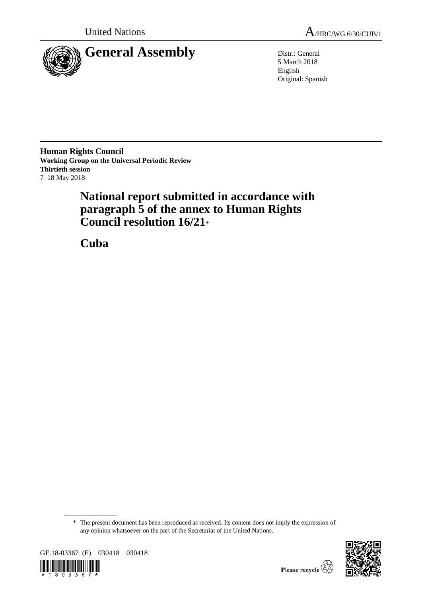

5 March 2018 English Original: Spanish

**Human Rights Council Working Group on the Universal Periodic Review Thirtieth session** 7–18 May 2018

# **National report submitted in accordance with paragraph 5 of the annex to Human Rights Council resolution 16/21**\*

**Cuba**

<sup>\*</sup> The present document has been reproduced as received. Its content does not imply the expression of any opinion whatsoever on the part of the Secretariat of the United Nations.



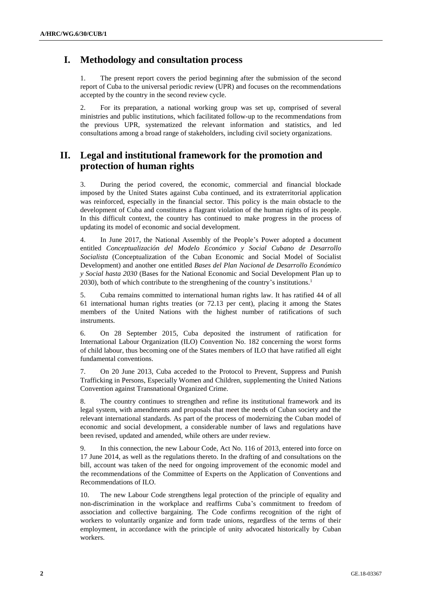## **I. Methodology and consultation process**

1. The present report covers the period beginning after the submission of the second report of Cuba to the universal periodic review (UPR) and focuses on the recommendations accepted by the country in the second review cycle.

2. For its preparation, a national working group was set up, comprised of several ministries and public institutions, which facilitated follow-up to the recommendations from the previous UPR, systematized the relevant information and statistics, and led consultations among a broad range of stakeholders, including civil society organizations.

## **II. Legal and institutional framework for the promotion and protection of human rights**

3. During the period covered, the economic, commercial and financial blockade imposed by the United States against Cuba continued, and its extraterritorial application was reinforced, especially in the financial sector. This policy is the main obstacle to the development of Cuba and constitutes a flagrant violation of the human rights of its people. In this difficult context, the country has continued to make progress in the process of updating its model of economic and social development.

4. In June 2017, the National Assembly of the People's Power adopted a document entitled *Conceptualización del Modelo Económico y Social Cubano de Desarrollo Socialista* (Conceptualization of the Cuban Economic and Social Model of Socialist Development) and another one entitled *Bases del Plan Nacional de Desarrollo Económico y Social hasta 2030* (Bases for the National Economic and Social Development Plan up to 2030), both of which contribute to the strengthening of the country's institutions.<sup>1</sup>

5. Cuba remains committed to international human rights law. It has ratified 44 of all 61 international human rights treaties (or 72.13 per cent), placing it among the States members of the United Nations with the highest number of ratifications of such instruments.

6. On 28 September 2015, Cuba deposited the instrument of ratification for International Labour Organization (ILO) Convention No. 182 concerning the worst forms of child labour, thus becoming one of the States members of ILO that have ratified all eight fundamental conventions.

7. On 20 June 2013, Cuba acceded to the Protocol to Prevent, Suppress and Punish Trafficking in Persons, Especially Women and Children, supplementing the United Nations Convention against Transnational Organized Crime.

8. The country continues to strengthen and refine its institutional framework and its legal system, with amendments and proposals that meet the needs of Cuban society and the relevant international standards. As part of the process of modernizing the Cuban model of economic and social development, a considerable number of laws and regulations have been revised, updated and amended, while others are under review.

9. In this connection, the new Labour Code, Act No. 116 of 2013, entered into force on 17 June 2014, as well as the regulations thereto. In the drafting of and consultations on the bill, account was taken of the need for ongoing improvement of the economic model and the recommendations of the Committee of Experts on the Application of Conventions and Recommendations of ILO.

10. The new Labour Code strengthens legal protection of the principle of equality and non-discrimination in the workplace and reaffirms Cuba's commitment to freedom of association and collective bargaining. The Code confirms recognition of the right of workers to voluntarily organize and form trade unions, regardless of the terms of their employment, in accordance with the principle of unity advocated historically by Cuban workers.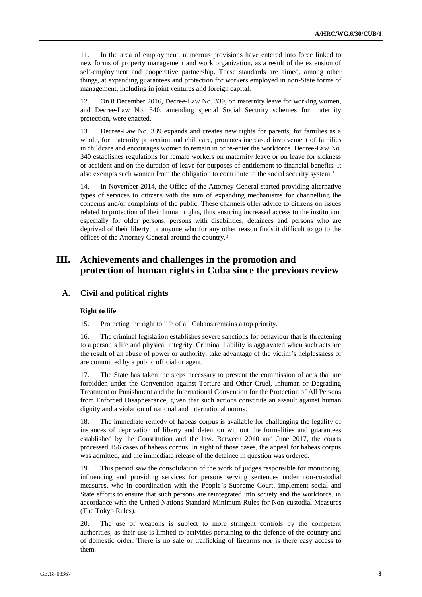11. In the area of employment, numerous provisions have entered into force linked to new forms of property management and work organization, as a result of the extension of self-employment and cooperative partnership. These standards are aimed, among other things, at expanding guarantees and protection for workers employed in non-State forms of management, including in joint ventures and foreign capital.

12. On 8 December 2016, Decree-Law No. 339, on maternity leave for working women, and Decree-Law No. 340, amending special Social Security schemes for maternity protection, were enacted.

13. Decree-Law No. 339 expands and creates new rights for parents, for families as a whole, for maternity protection and childcare, promotes increased involvement of families in childcare and encourages women to remain in or re-enter the workforce. Decree-Law No. 340 establishes regulations for female workers on maternity leave or on leave for sickness or accident and on the duration of leave for purposes of entitlement to financial benefits. It also exempts such women from the obligation to contribute to the social security system.<sup>2</sup>

14. In November 2014, the Office of the Attorney General started providing alternative types of services to citizens with the aim of expanding mechanisms for channelling the concerns and/or complaints of the public. These channels offer advice to citizens on issues related to protection of their human rights, thus ensuring increased access to the institution, especially for older persons, persons with disabilities, detainees and persons who are deprived of their liberty, or anyone who for any other reason finds it difficult to go to the offices of the Attorney General around the country.<sup>3</sup>

## **III. Achievements and challenges in the promotion and protection of human rights in Cuba since the previous review**

## **A. Civil and political rights**

## **Right to life**

15. Protecting the right to life of all Cubans remains a top priority.

16. The criminal legislation establishes severe sanctions for behaviour that is threatening to a person's life and physical integrity. Criminal liability is aggravated when such acts are the result of an abuse of power or authority, take advantage of the victim's helplessness or are committed by a public official or agent.

17. The State has taken the steps necessary to prevent the commission of acts that are forbidden under the Convention against Torture and Other Cruel, Inhuman or Degrading Treatment or Punishment and the International Convention for the Protection of All Persons from Enforced Disappearance, given that such actions constitute an assault against human dignity and a violation of national and international norms.

18. The immediate remedy of habeas corpus is available for challenging the legality of instances of deprivation of liberty and detention without the formalities and guarantees established by the Constitution and the law. Between 2010 and June 2017, the courts processed 156 cases of habeas corpus. In eight of those cases, the appeal for habeas corpus was admitted, and the immediate release of the detainee in question was ordered.

19. This period saw the consolidation of the work of judges responsible for monitoring, influencing and providing services for persons serving sentences under non-custodial measures, who in coordination with the People's Supreme Court, implement social and State efforts to ensure that such persons are reintegrated into society and the workforce, in accordance with the United Nations Standard Minimum Rules for Non-custodial Measures (The Tokyo Rules).

20. The use of weapons is subject to more stringent controls by the competent authorities, as their use is limited to activities pertaining to the defence of the country and of domestic order. There is no sale or trafficking of firearms nor is there easy access to them.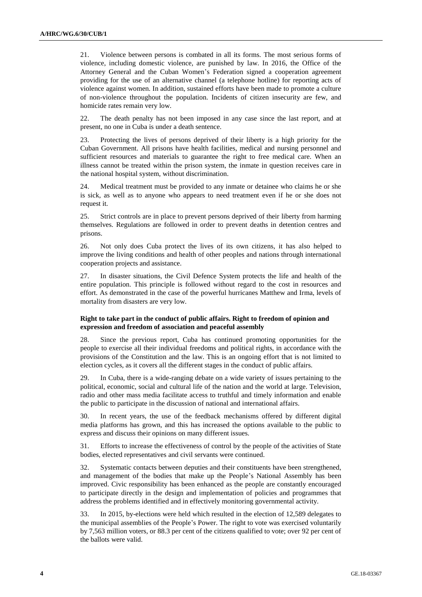21. Violence between persons is combated in all its forms. The most serious forms of violence, including domestic violence, are punished by law. In 2016, the Office of the Attorney General and the Cuban Women's Federation signed a cooperation agreement providing for the use of an alternative channel (a telephone hotline) for reporting acts of violence against women. In addition, sustained efforts have been made to promote a culture of non-violence throughout the population. Incidents of citizen insecurity are few, and homicide rates remain very low.

22. The death penalty has not been imposed in any case since the last report, and at present, no one in Cuba is under a death sentence.

23. Protecting the lives of persons deprived of their liberty is a high priority for the Cuban Government. All prisons have health facilities, medical and nursing personnel and sufficient resources and materials to guarantee the right to free medical care. When an illness cannot be treated within the prison system, the inmate in question receives care in the national hospital system, without discrimination.

24. Medical treatment must be provided to any inmate or detainee who claims he or she is sick, as well as to anyone who appears to need treatment even if he or she does not request it.

25. Strict controls are in place to prevent persons deprived of their liberty from harming themselves. Regulations are followed in order to prevent deaths in detention centres and prisons.

26. Not only does Cuba protect the lives of its own citizens, it has also helped to improve the living conditions and health of other peoples and nations through international cooperation projects and assistance.

27. In disaster situations, the Civil Defence System protects the life and health of the entire population. This principle is followed without regard to the cost in resources and effort. As demonstrated in the case of the powerful hurricanes Matthew and Irma, levels of mortality from disasters are very low.

## **Right to take part in the conduct of public affairs. Right to freedom of opinion and expression and freedom of association and peaceful assembly**

28. Since the previous report, Cuba has continued promoting opportunities for the people to exercise all their individual freedoms and political rights, in accordance with the provisions of the Constitution and the law. This is an ongoing effort that is not limited to election cycles, as it covers all the different stages in the conduct of public affairs.

29. In Cuba, there is a wide-ranging debate on a wide variety of issues pertaining to the political, economic, social and cultural life of the nation and the world at large. Television, radio and other mass media facilitate access to truthful and timely information and enable the public to participate in the discussion of national and international affairs.

30. In recent years, the use of the feedback mechanisms offered by different digital media platforms has grown, and this has increased the options available to the public to express and discuss their opinions on many different issues.

31. Efforts to increase the effectiveness of control by the people of the activities of State bodies, elected representatives and civil servants were continued.

32. Systematic contacts between deputies and their constituents have been strengthened, and management of the bodies that make up the People's National Assembly has been improved. Civic responsibility has been enhanced as the people are constantly encouraged to participate directly in the design and implementation of policies and programmes that address the problems identified and in effectively monitoring governmental activity.

33. In 2015, by-elections were held which resulted in the election of 12,589 delegates to the municipal assemblies of the People's Power. The right to vote was exercised voluntarily by 7,563 million voters, or 88.3 per cent of the citizens qualified to vote; over 92 per cent of the ballots were valid.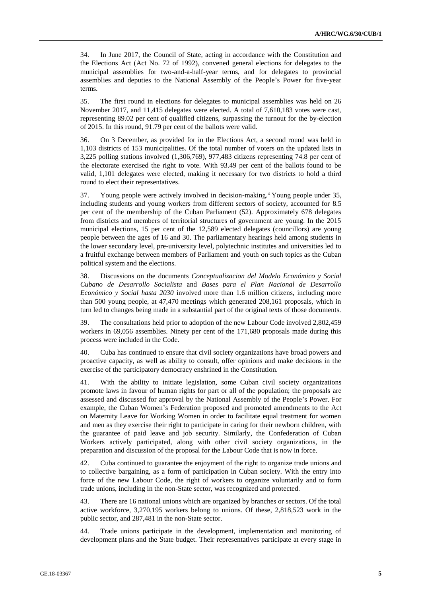34. In June 2017, the Council of State, acting in accordance with the Constitution and the Elections Act (Act No. 72 of 1992), convened general elections for delegates to the municipal assemblies for two-and-a-half-year terms, and for delegates to provincial assemblies and deputies to the National Assembly of the People's Power for five-year terms.

35. The first round in elections for delegates to municipal assemblies was held on 26 November 2017, and 11,415 delegates were elected. A total of 7,610,183 votes were cast, representing 89.02 per cent of qualified citizens, surpassing the turnout for the by-election of 2015. In this round, 91.79 per cent of the ballots were valid.

36. On 3 December, as provided for in the Elections Act, a second round was held in 1,103 districts of 153 municipalities. Of the total number of voters on the updated lists in 3,225 polling stations involved (1,306,769), 977,483 citizens representing 74.8 per cent of the electorate exercised the right to vote. With 93.49 per cent of the ballots found to be valid, 1,101 delegates were elected, making it necessary for two districts to hold a third round to elect their representatives.

37. Young people were actively involved in decision-making.<sup>4</sup> Young people under 35, including students and young workers from different sectors of society, accounted for 8.5 per cent of the membership of the Cuban Parliament (52). Approximately 678 delegates from districts and members of territorial structures of government are young. In the 2015 municipal elections, 15 per cent of the 12,589 elected delegates (councillors) are young people between the ages of 16 and 30. The parliamentary hearings held among students in the lower secondary level, pre-university level, polytechnic institutes and universities led to a fruitful exchange between members of Parliament and youth on such topics as the Cuban political system and the elections.

38. Discussions on the documents *Conceptualizacion del Modelo Económico y Social Cubano de Desarrollo Socialista* and *Bases para el Plan Nacional de Desarrollo Económico y Social hasta 2030* involved more than 1.6 million citizens, including more than 500 young people, at 47,470 meetings which generated 208,161 proposals, which in turn led to changes being made in a substantial part of the original texts of those documents.

39. The consultations held prior to adoption of the new Labour Code involved 2,802,459 workers in 69,056 assemblies. Ninety per cent of the 171,680 proposals made during this process were included in the Code.

40. Cuba has continued to ensure that civil society organizations have broad powers and proactive capacity, as well as ability to consult, offer opinions and make decisions in the exercise of the participatory democracy enshrined in the Constitution.

41. With the ability to initiate legislation, some Cuban civil society organizations promote laws in favour of human rights for part or all of the population; the proposals are assessed and discussed for approval by the National Assembly of the People's Power. For example, the Cuban Women's Federation proposed and promoted amendments to the Act on Maternity Leave for Working Women in order to facilitate equal treatment for women and men as they exercise their right to participate in caring for their newborn children, with the guarantee of paid leave and job security. Similarly, the Confederation of Cuban Workers actively participated, along with other civil society organizations, in the preparation and discussion of the proposal for the Labour Code that is now in force.

42. Cuba continued to guarantee the enjoyment of the right to organize trade unions and to collective bargaining, as a form of participation in Cuban society. With the entry into force of the new Labour Code, the right of workers to organize voluntarily and to form trade unions, including in the non-State sector, was recognized and protected.

43. There are 16 national unions which are organized by branches or sectors. Of the total active workforce, 3,270,195 workers belong to unions. Of these, 2,818,523 work in the public sector, and 287,481 in the non-State sector.

44. Trade unions participate in the development, implementation and monitoring of development plans and the State budget. Their representatives participate at every stage in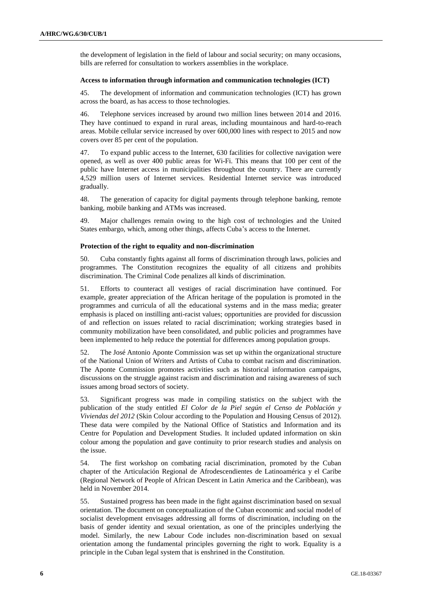the development of legislation in the field of labour and social security; on many occasions, bills are referred for consultation to workers assemblies in the workplace.

### **Access to information through information and communication technologies (ICT)**

45. The development of information and communication technologies (ICT) has grown across the board, as has access to those technologies.

46. Telephone services increased by around two million lines between 2014 and 2016. They have continued to expand in rural areas, including mountainous and hard-to-reach areas. Mobile cellular service increased by over 600,000 lines with respect to 2015 and now covers over 85 per cent of the population.

47. To expand public access to the Internet, 630 facilities for collective navigation were opened, as well as over 400 public areas for Wi-Fi. This means that 100 per cent of the public have Internet access in municipalities throughout the country. There are currently 4,529 million users of Internet services. Residential Internet service was introduced gradually.

48. The generation of capacity for digital payments through telephone banking, remote banking, mobile banking and ATMs was increased.

49. Major challenges remain owing to the high cost of technologies and the United States embargo, which, among other things, affects Cuba's access to the Internet.

#### **Protection of the right to equality and non-discrimination**

50. Cuba constantly fights against all forms of discrimination through laws, policies and programmes. The Constitution recognizes the equality of all citizens and prohibits discrimination. The Criminal Code penalizes all kinds of discrimination.

51. Efforts to counteract all vestiges of racial discrimination have continued. For example, greater appreciation of the African heritage of the population is promoted in the programmes and curricula of all the educational systems and in the mass media; greater emphasis is placed on instilling anti-racist values; opportunities are provided for discussion of and reflection on issues related to racial discrimination; working strategies based in community mobilization have been consolidated, and public policies and programmes have been implemented to help reduce the potential for differences among population groups.

52. The José Antonio Aponte Commission was set up within the organizational structure of the National Union of Writers and Artists of Cuba to combat racism and discrimination. The Aponte Commission promotes activities such as historical information campaigns, discussions on the struggle against racism and discrimination and raising awareness of such issues among broad sectors of society.

53. Significant progress was made in compiling statistics on the subject with the publication of the study entitled *El Color de la Piel según el Censo de Población y Viviendas del 2012* (Skin Colour according to the Population and Housing Census of 2012). These data were compiled by the National Office of Statistics and Information and its Centre for Population and Development Studies. It included updated information on skin colour among the population and gave continuity to prior research studies and analysis on the issue.

54. The first workshop on combating racial discrimination, promoted by the Cuban chapter of the Articulación Regional de Afrodescendientes de Latinoamérica y el Caribe (Regional Network of People of African Descent in Latin America and the Caribbean), was held in November 2014.

55. Sustained progress has been made in the fight against discrimination based on sexual orientation. The document on conceptualization of the Cuban economic and social model of socialist development envisages addressing all forms of discrimination, including on the basis of gender identity and sexual orientation, as one of the principles underlying the model. Similarly, the new Labour Code includes non-discrimination based on sexual orientation among the fundamental principles governing the right to work. Equality is a principle in the Cuban legal system that is enshrined in the Constitution.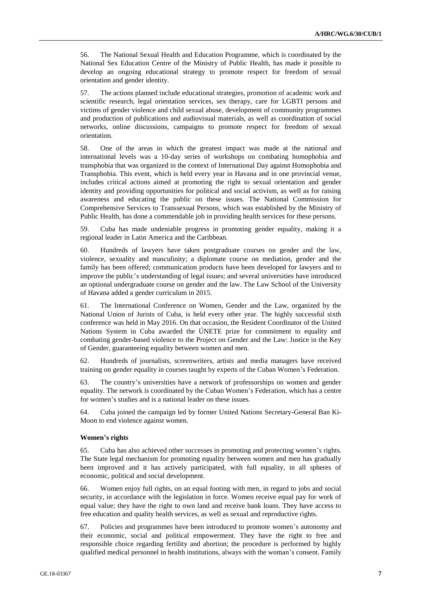56. The National Sexual Health and Education Programme, which is coordinated by the National Sex Education Centre of the Ministry of Public Health, has made it possible to develop an ongoing educational strategy to promote respect for freedom of sexual orientation and gender identity.

57. The actions planned include educational strategies, promotion of academic work and scientific research, legal orientation services, sex therapy, care for LGBTI persons and victims of gender violence and child sexual abuse, development of community programmes and production of publications and audiovisual materials, as well as coordination of social networks, online discussions, campaigns to promote respect for freedom of sexual orientation.

58. One of the areas in which the greatest impact was made at the national and international levels was a 10-day series of workshops on combating homophobia and transphobia that was organized in the context of International Day against Homophobia and Transphobia. This event, which is held every year in Havana and in one provincial venue, includes critical actions aimed at promoting the right to sexual orientation and gender identity and providing opportunities for political and social activism, as well as for raising awareness and educating the public on these issues. The National Commission for Comprehensive Services to Transsexual Persons, which was established by the Ministry of Public Health, has done a commendable job in providing health services for these persons.

59. Cuba has made undeniable progress in promoting gender equality, making it a regional leader in Latin America and the Caribbean.

60. Hundreds of lawyers have taken postgraduate courses on gender and the law, violence, sexuality and masculinity; a diplomate course on mediation, gender and the family has been offered; communication products have been developed for lawyers and to improve the public's understanding of legal issues; and several universities have introduced an optional undergraduate course on gender and the law. The Law School of the University of Havana added a gender curriculum in 2015.

61. The International Conference on Women, Gender and the Law, organized by the National Union of Jurists of Cuba, is held every other year. The highly successful sixth conference was held in May 2016. On that occasion, the Resident Coordinator of the United Nations System in Cuba awarded the ÚNETE prize for commitment to equality and combating gender-based violence to the Project on Gender and the Law: Justice in the Key of Gender, guaranteeing equality between women and men.

62. Hundreds of journalists, screenwriters, artists and media managers have received training on gender equality in courses taught by experts of the Cuban Women's Federation.

63. The country's universities have a network of professorships on women and gender equality. The network is coordinated by the Cuban Women's Federation, which has a centre for women's studies and is a national leader on these issues.

64. Cuba joined the campaign led by former United Nations Secretary-General Ban Ki-Moon to end violence against women.

## **Women's rights**

65. Cuba has also achieved other successes in promoting and protecting women's rights. The State legal mechanism for promoting equality between women and men has gradually been improved and it has actively participated, with full equality, in all spheres of economic, political and social development.

66. Women enjoy full rights, on an equal footing with men, in regard to jobs and social security, in accordance with the legislation in force. Women receive equal pay for work of equal value; they have the right to own land and receive bank loans. They have access to free education and quality health services, as well as sexual and reproductive rights.

67. Policies and programmes have been introduced to promote women's autonomy and their economic, social and political empowerment. They have the right to free and responsible choice regarding fertility and abortion; the procedure is performed by highly qualified medical personnel in health institutions, always with the woman's consent. Family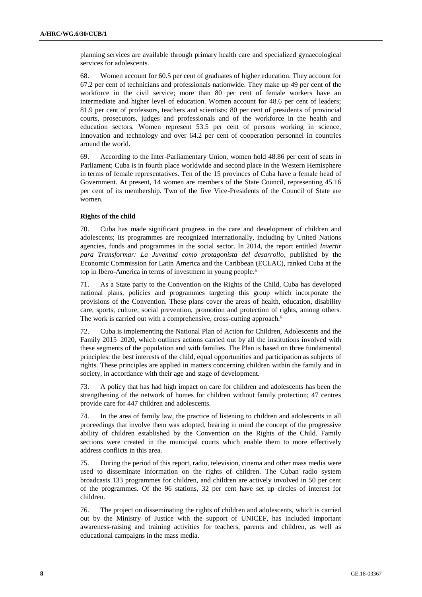planning services are available through primary health care and specialized gynaecological services for adolescents.

68. Women account for 60.5 per cent of graduates of higher education. They account for 67.2 per cent of technicians and professionals nationwide. They make up 49 per cent of the workforce in the civil service; more than 80 per cent of female workers have an intermediate and higher level of education. Women account for 48.6 per cent of leaders; 81.9 per cent of professors, teachers and scientists; 80 per cent of presidents of provincial courts, prosecutors, judges and professionals and of the workforce in the health and education sectors. Women represent 53.5 per cent of persons working in science, innovation and technology and over 64.2 per cent of cooperation personnel in countries around the world.

69. According to the Inter-Parliamentary Union, women hold 48.86 per cent of seats in Parliament; Cuba is in fourth place worldwide and second place in the Western Hemisphere in terms of female representatives. Ten of the 15 provinces of Cuba have a female head of Government. At present, 14 women are members of the State Council, representing 45.16 per cent of its membership. Two of the five Vice-Presidents of the Council of State are women.

## **Rights of the child**

70. Cuba has made significant progress in the care and development of children and adolescents; its programmes are recognized internationally, including by United Nations agencies, funds and programmes in the social sector. In 2014, the report entitled *Invertir para Transformar: La Juventud como protagonista del desarrollo*, published by the Economic Commission for Latin America and the Caribbean (ECLAC), ranked Cuba at the top in Ibero-America in terms of investment in young people.<sup>5</sup>

71. As a State party to the Convention on the Rights of the Child, Cuba has developed national plans, policies and programmes targeting this group which incorporate the provisions of the Convention. These plans cover the areas of health, education, disability care, sports, culture, social prevention, promotion and protection of rights, among others. The work is carried out with a comprehensive, cross-cutting approach.<sup>6</sup>

72. Cuba is implementing the National Plan of Action for Children, Adolescents and the Family 2015–2020, which outlines actions carried out by all the institutions involved with these segments of the population and with families. The Plan is based on three fundamental principles: the best interests of the child, equal opportunities and participation as subjects of rights. These principles are applied in matters concerning children within the family and in society, in accordance with their age and stage of development.

73. A policy that has had high impact on care for children and adolescents has been the strengthening of the network of homes for children without family protection; 47 centres provide care for 447 children and adolescents.

74. In the area of family law, the practice of listening to children and adolescents in all proceedings that involve them was adopted, bearing in mind the concept of the progressive ability of children established by the Convention on the Rights of the Child. Family sections were created in the municipal courts which enable them to more effectively address conflicts in this area.

75. During the period of this report, radio, television, cinema and other mass media were used to disseminate information on the rights of children. The Cuban radio system broadcasts 133 programmes for children, and children are actively involved in 50 per cent of the programmes. Of the 96 stations, 32 per cent have set up circles of interest for children.

76. The project on disseminating the rights of children and adolescents, which is carried out by the Ministry of Justice with the support of UNICEF, has included important awareness-raising and training activities for teachers, parents and children, as well as educational campaigns in the mass media.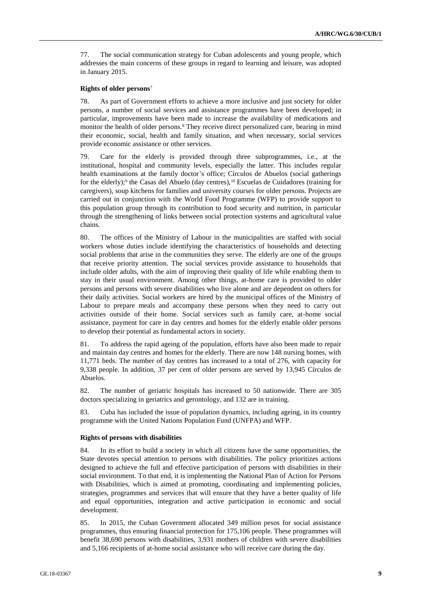77. The social communication strategy for Cuban adolescents and young people, which addresses the main concerns of these groups in regard to learning and leisure, was adopted in January 2015.

## **Rights of older persons**<sup>7</sup>

78. As part of Government efforts to achieve a more inclusive and just society for older persons, a number of social services and assistance programmes have been developed; in particular, improvements have been made to increase the availability of medications and monitor the health of older persons.<sup>8</sup> They receive direct personalized care, bearing in mind their economic, social, health and family situation, and when necessary, social services provide economic assistance or other services.

79. Care for the elderly is provided through three subprogrammes, i.e., at the institutional, hospital and community levels, especially the latter. This includes regular health examinations at the family doctor's office; Círculos de Abuelos (social gatherings for the elderly);<sup>9</sup> the Casas del Abuelo (day centres),<sup>10</sup> Escuelas de Cuidadores (training for caregivers), soup kitchens for families and university courses for older persons. Projects are carried out in conjunction with the World Food Programme (WFP) to provide support to this population group through its contribution to food security and nutrition, in particular through the strengthening of links between social protection systems and agricultural value chains.

80. The offices of the Ministry of Labour in the municipalities are staffed with social workers whose duties include identifying the characteristics of households and detecting social problems that arise in the communities they serve. The elderly are one of the groups that receive priority attention. The social services provide assistance to households that include older adults, with the aim of improving their quality of life while enabling them to stay in their usual environment. Among other things, at-home care is provided to older persons and persons with severe disabilities who live alone and are dependent on others for their daily activities. Social workers are hired by the municipal offices of the Ministry of Labour to prepare meals and accompany these persons when they need to carry out activities outside of their home. Social services such as family care, at-home social assistance, payment for care in day centres and homes for the elderly enable older persons to develop their potential as fundamental actors in society.

81. To address the rapid ageing of the population, efforts have also been made to repair and maintain day centres and homes for the elderly. There are now 148 nursing homes, with 11,771 beds. The number of day centres has increased to a total of 276, with capacity for 9,338 people. In addition, 37 per cent of older persons are served by 13,945 Círculos de Abuelos.

82. The number of geriatric hospitals has increased to 50 nationwide. There are 305 doctors specializing in geriatrics and gerontology, and 132 are in training.

83. Cuba has included the issue of population dynamics, including ageing, in its country programme with the United Nations Population Fund (UNFPA) and WFP.

## **Rights of persons with disabilities**

84. In its effort to build a society in which all citizens have the same opportunities, the State devotes special attention to persons with disabilities. The policy prioritizes actions designed to achieve the full and effective participation of persons with disabilities in their social environment. To that end, it is implementing the National Plan of Action for Persons with Disabilities, which is aimed at promoting, coordinating and implementing policies, strategies, programmes and services that will ensure that they have a better quality of life and equal opportunities, integration and active participation in economic and social development.

85. In 2015, the Cuban Government allocated 349 million pesos for social assistance programmes, thus ensuring financial protection for 175,106 people. These programmes will benefit 38,690 persons with disabilities, 3,931 mothers of children with severe disabilities and 5,166 recipients of at-home social assistance who will receive care during the day.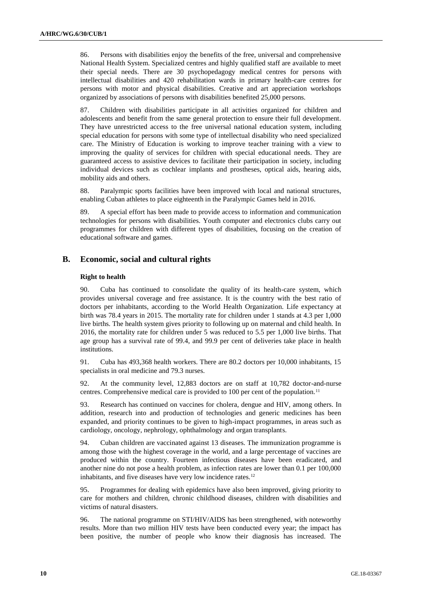86. Persons with disabilities enjoy the benefits of the free, universal and comprehensive National Health System. Specialized centres and highly qualified staff are available to meet their special needs. There are 30 psychopedagogy medical centres for persons with intellectual disabilities and 420 rehabilitation wards in primary health-care centres for persons with motor and physical disabilities. Creative and art appreciation workshops organized by associations of persons with disabilities benefited 25,000 persons.

87. Children with disabilities participate in all activities organized for children and adolescents and benefit from the same general protection to ensure their full development. They have unrestricted access to the free universal national education system, including special education for persons with some type of intellectual disability who need specialized care. The Ministry of Education is working to improve teacher training with a view to improving the quality of services for children with special educational needs. They are guaranteed access to assistive devices to facilitate their participation in society, including individual devices such as cochlear implants and prostheses, optical aids, hearing aids, mobility aids and others.

88. Paralympic sports facilities have been improved with local and national structures, enabling Cuban athletes to place eighteenth in the Paralympic Games held in 2016.

89. A special effort has been made to provide access to information and communication technologies for persons with disabilities. Youth computer and electronics clubs carry out programmes for children with different types of disabilities, focusing on the creation of educational software and games.

## **B. Economic, social and cultural rights**

## **Right to health**

90. Cuba has continued to consolidate the quality of its health-care system, which provides universal coverage and free assistance. It is the country with the best ratio of doctors per inhabitants, according to the World Health Organization. Life expectancy at birth was 78.4 years in 2015. The mortality rate for children under 1 stands at 4.3 per 1,000 live births. The health system gives priority to following up on maternal and child health. In 2016, the mortality rate for children under 5 was reduced to 5.5 per 1,000 live births. That age group has a survival rate of 99.4, and 99.9 per cent of deliveries take place in health institutions.

91. Cuba has 493,368 health workers. There are 80.2 doctors per 10,000 inhabitants, 15 specialists in oral medicine and 79.3 nurses.

92. At the community level, 12,883 doctors are on staff at 10,782 doctor-and-nurse centres. Comprehensive medical care is provided to 100 per cent of the population.<sup>11</sup>

93. Research has continued on vaccines for cholera, dengue and HIV, among others. In addition, research into and production of technologies and generic medicines has been expanded, and priority continues to be given to high-impact programmes, in areas such as cardiology, oncology, nephrology, ophthalmology and organ transplants.

94. Cuban children are vaccinated against 13 diseases. The immunization programme is among those with the highest coverage in the world, and a large percentage of vaccines are produced within the country. Fourteen infectious diseases have been eradicated, and another nine do not pose a health problem, as infection rates are lower than 0.1 per 100,000 inhabitants, and five diseases have very low incidence rates.<sup>12</sup>

95. Programmes for dealing with epidemics have also been improved, giving priority to care for mothers and children, chronic childhood diseases, children with disabilities and victims of natural disasters.

96. The national programme on STI/HIV/AIDS has been strengthened, with noteworthy results. More than two million HIV tests have been conducted every year; the impact has been positive, the number of people who know their diagnosis has increased. The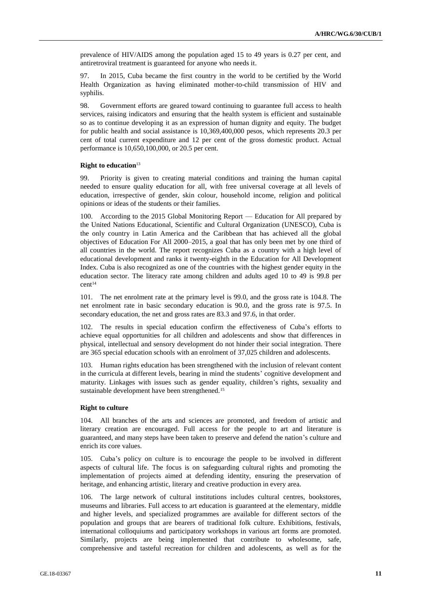prevalence of HIV/AIDS among the population aged 15 to 49 years is 0.27 per cent, and antiretroviral treatment is guaranteed for anyone who needs it.

97. In 2015, Cuba became the first country in the world to be certified by the World Health Organization as having eliminated mother-to-child transmission of HIV and syphilis.

98. Government efforts are geared toward continuing to guarantee full access to health services, raising indicators and ensuring that the health system is efficient and sustainable so as to continue developing it as an expression of human dignity and equity. The budget for public health and social assistance is 10,369,400,000 pesos, which represents 20.3 per cent of total current expenditure and 12 per cent of the gross domestic product. Actual performance is 10,650,100,000, or 20.5 per cent.

## **Right to education**<sup>13</sup>

99. Priority is given to creating material conditions and training the human capital needed to ensure quality education for all, with free universal coverage at all levels of education, irrespective of gender, skin colour, household income, religion and political opinions or ideas of the students or their families.

100. According to the 2015 Global Monitoring Report — Education for All prepared by the United Nations Educational, Scientific and Cultural Organization (UNESCO), Cuba is the only country in Latin America and the Caribbean that has achieved all the global objectives of Education For All 2000–2015, a goal that has only been met by one third of all countries in the world. The report recognizes Cuba as a country with a high level of educational development and ranks it twenty-eighth in the Education for All Development Index. Cuba is also recognized as one of the countries with the highest gender equity in the education sector. The literacy rate among children and adults aged 10 to 49 is 99.8 per cent<sup>14</sup>

101. The net enrolment rate at the primary level is 99.0, and the gross rate is 104.8. The net enrolment rate in basic secondary education is 90.0, and the gross rate is 97.5. In secondary education, the net and gross rates are 83.3 and 97.6, in that order.

102. The results in special education confirm the effectiveness of Cuba's efforts to achieve equal opportunities for all children and adolescents and show that differences in physical, intellectual and sensory development do not hinder their social integration. There are 365 special education schools with an enrolment of 37,025 children and adolescents.

103. Human rights education has been strengthened with the inclusion of relevant content in the curricula at different levels, bearing in mind the students' cognitive development and maturity. Linkages with issues such as gender equality, children's rights, sexuality and sustainable development have been strengthened.<sup>15</sup>

## **Right to culture**

104. All branches of the arts and sciences are promoted, and freedom of artistic and literary creation are encouraged. Full access for the people to art and literature is guaranteed, and many steps have been taken to preserve and defend the nation's culture and enrich its core values.

105. Cuba's policy on culture is to encourage the people to be involved in different aspects of cultural life. The focus is on safeguarding cultural rights and promoting the implementation of projects aimed at defending identity, ensuring the preservation of heritage, and enhancing artistic, literary and creative production in every area.

106. The large network of cultural institutions includes cultural centres, bookstores, museums and libraries. Full access to art education is guaranteed at the elementary, middle and higher levels, and specialized programmes are available for different sectors of the population and groups that are bearers of traditional folk culture. Exhibitions, festivals, international colloquiums and participatory workshops in various art forms are promoted. Similarly, projects are being implemented that contribute to wholesome, safe, comprehensive and tasteful recreation for children and adolescents, as well as for the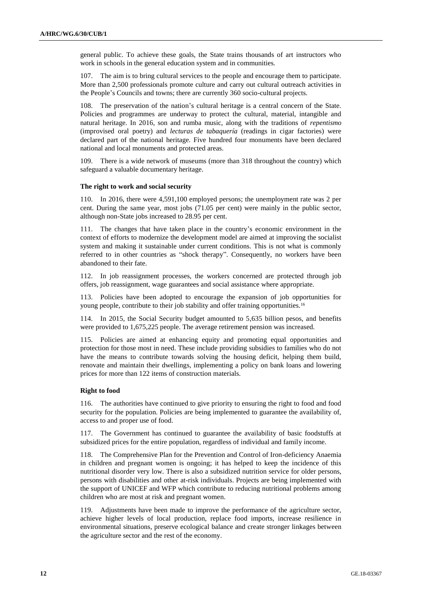general public. To achieve these goals, the State trains thousands of art instructors who work in schools in the general education system and in communities.

107. The aim is to bring cultural services to the people and encourage them to participate. More than 2,500 professionals promote culture and carry out cultural outreach activities in the People's Councils and towns; there are currently 360 socio-cultural projects.

108. The preservation of the nation's cultural heritage is a central concern of the State. Policies and programmes are underway to protect the cultural, material, intangible and natural heritage. In 2016, son and rumba music, along with the traditions of *repentismo* (improvised oral poetry) and *lecturas de tabaquería* (readings in cigar factories) were declared part of the national heritage. Five hundred four monuments have been declared national and local monuments and protected areas.

109. There is a wide network of museums (more than 318 throughout the country) which safeguard a valuable documentary heritage.

## **The right to work and social security**

110. In 2016, there were 4,591,100 employed persons; the unemployment rate was 2 per cent. During the same year, most jobs (71.05 per cent) were mainly in the public sector, although non-State jobs increased to 28.95 per cent.

111. The changes that have taken place in the country's economic environment in the context of efforts to modernize the development model are aimed at improving the socialist system and making it sustainable under current conditions. This is not what is commonly referred to in other countries as "shock therapy". Consequently, no workers have been abandoned to their fate.

112. In job reassignment processes, the workers concerned are protected through job offers, job reassignment, wage guarantees and social assistance where appropriate.

113. Policies have been adopted to encourage the expansion of job opportunities for young people, contribute to their job stability and offer training opportunities.<sup>16</sup>

114. In 2015, the Social Security budget amounted to 5,635 billion pesos, and benefits were provided to 1,675,225 people. The average retirement pension was increased.

115. Policies are aimed at enhancing equity and promoting equal opportunities and protection for those most in need. These include providing subsidies to families who do not have the means to contribute towards solving the housing deficit, helping them build, renovate and maintain their dwellings, implementing a policy on bank loans and lowering prices for more than 122 items of construction materials.

## **Right to food**

116. The authorities have continued to give priority to ensuring the right to food and food security for the population. Policies are being implemented to guarantee the availability of, access to and proper use of food.

117. The Government has continued to guarantee the availability of basic foodstuffs at subsidized prices for the entire population, regardless of individual and family income.

118. The Comprehensive Plan for the Prevention and Control of Iron-deficiency Anaemia in children and pregnant women is ongoing; it has helped to keep the incidence of this nutritional disorder very low. There is also a subsidized nutrition service for older persons, persons with disabilities and other at-risk individuals. Projects are being implemented with the support of UNICEF and WFP which contribute to reducing nutritional problems among children who are most at risk and pregnant women.

119. Adjustments have been made to improve the performance of the agriculture sector, achieve higher levels of local production, replace food imports, increase resilience in environmental situations, preserve ecological balance and create stronger linkages between the agriculture sector and the rest of the economy.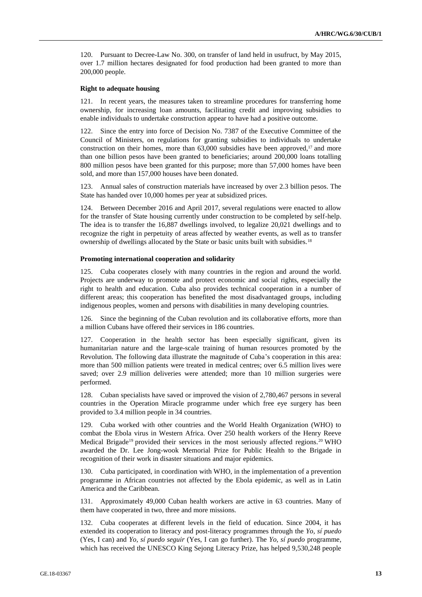120. Pursuant to Decree-Law No. 300, on transfer of land held in usufruct, by May 2015, over 1.7 million hectares designated for food production had been granted to more than 200,000 people.

## **Right to adequate housing**

121. In recent years, the measures taken to streamline procedures for transferring home ownership, for increasing loan amounts, facilitating credit and improving subsidies to enable individuals to undertake construction appear to have had a positive outcome.

122. Since the entry into force of Decision No. 7387 of the Executive Committee of the Council of Ministers, on regulations for granting subsidies to individuals to undertake construction on their homes, more than  $63,000$  subsidies have been approved,<sup>17</sup> and more than one billion pesos have been granted to beneficiaries; around 200,000 loans totalling 800 million pesos have been granted for this purpose; more than 57,000 homes have been sold, and more than 157,000 houses have been donated.

123. Annual sales of construction materials have increased by over 2.3 billion pesos. The State has handed over 10,000 homes per year at subsidized prices.

124. Between December 2016 and April 2017, several regulations were enacted to allow for the transfer of State housing currently under construction to be completed by self-help. The idea is to transfer the 16,887 dwellings involved, to legalize 20,021 dwellings and to recognize the right in perpetuity of areas affected by weather events, as well as to transfer ownership of dwellings allocated by the State or basic units built with subsidies.<sup>18</sup>

#### **Promoting international cooperation and solidarity**

125. Cuba cooperates closely with many countries in the region and around the world. Projects are underway to promote and protect economic and social rights, especially the right to health and education. Cuba also provides technical cooperation in a number of different areas; this cooperation has benefited the most disadvantaged groups, including indigenous peoples, women and persons with disabilities in many developing countries.

126. Since the beginning of the Cuban revolution and its collaborative efforts, more than a million Cubans have offered their services in 186 countries.

127. Cooperation in the health sector has been especially significant, given its humanitarian nature and the large-scale training of human resources promoted by the Revolution. The following data illustrate the magnitude of Cuba's cooperation in this area: more than 500 million patients were treated in medical centres; over 6.5 million lives were saved; over 2.9 million deliveries were attended; more than 10 million surgeries were performed.

128. Cuban specialists have saved or improved the vision of 2,780,467 persons in several countries in the Operation Miracle programme under which free eye surgery has been provided to 3.4 million people in 34 countries.

129. Cuba worked with other countries and the World Health Organization (WHO) to combat the Ebola virus in Western Africa. Over 250 health workers of the Henry Reeve Medical Brigade<sup>19</sup> provided their services in the most seriously affected regions.<sup>20</sup> WHO awarded the Dr. Lee Jong-wook Memorial Prize for Public Health to the Brigade in recognition of their work in disaster situations and major epidemics.

130. Cuba participated, in coordination with WHO, in the implementation of a prevention programme in African countries not affected by the Ebola epidemic, as well as in Latin America and the Caribbean.

131. Approximately 49,000 Cuban health workers are active in 63 countries. Many of them have cooperated in two, three and more missions.

132. Cuba cooperates at different levels in the field of education. Since 2004, it has extended its cooperation to literacy and post-literacy programmes through the *Yo, sí puedo* (Yes, I can) and *Yo, sí puedo seguir* (Yes, I can go further). The *Yo, sí puedo* programme, which has received the UNESCO King Sejong Literacy Prize, has helped 9,530,248 people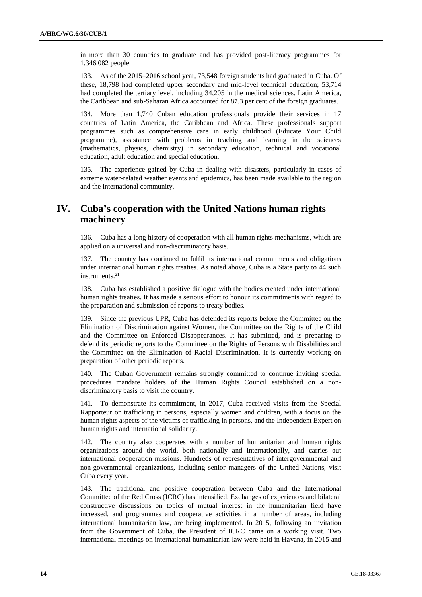in more than 30 countries to graduate and has provided post-literacy programmes for 1,346,082 people.

133. As of the 2015–2016 school year, 73,548 foreign students had graduated in Cuba. Of these, 18,798 had completed upper secondary and mid-level technical education; 53,714 had completed the tertiary level, including 34,205 in the medical sciences. Latin America, the Caribbean and sub-Saharan Africa accounted for 87.3 per cent of the foreign graduates.

134. More than 1,740 Cuban education professionals provide their services in 17 countries of Latin America, the Caribbean and Africa. These professionals support programmes such as comprehensive care in early childhood (Educate Your Child programme), assistance with problems in teaching and learning in the sciences (mathematics, physics, chemistry) in secondary education, technical and vocational education, adult education and special education.

135. The experience gained by Cuba in dealing with disasters, particularly in cases of extreme water-related weather events and epidemics, has been made available to the region and the international community.

## **IV. Cuba's cooperation with the United Nations human rights machinery**

136. Cuba has a long history of cooperation with all human rights mechanisms, which are applied on a universal and non-discriminatory basis.

137. The country has continued to fulfil its international commitments and obligations under international human rights treaties. As noted above, Cuba is a State party to 44 such instruments.<sup>21</sup>

138. Cuba has established a positive dialogue with the bodies created under international human rights treaties. It has made a serious effort to honour its commitments with regard to the preparation and submission of reports to treaty bodies.

Since the previous UPR, Cuba has defended its reports before the Committee on the Elimination of Discrimination against Women, the Committee on the Rights of the Child and the Committee on Enforced Disappearances. It has submitted, and is preparing to defend its periodic reports to the Committee on the Rights of Persons with Disabilities and the Committee on the Elimination of Racial Discrimination. It is currently working on preparation of other periodic reports.

140. The Cuban Government remains strongly committed to continue inviting special procedures mandate holders of the Human Rights Council established on a nondiscriminatory basis to visit the country.

141. To demonstrate its commitment, in 2017, Cuba received visits from the Special Rapporteur on trafficking in persons, especially women and children, with a focus on the human rights aspects of the victims of trafficking in persons, and the Independent Expert on human rights and international solidarity.

142. The country also cooperates with a number of humanitarian and human rights organizations around the world, both nationally and internationally, and carries out international cooperation missions. Hundreds of representatives of intergovernmental and non-governmental organizations, including senior managers of the United Nations, visit Cuba every year.

143. The traditional and positive cooperation between Cuba and the International Committee of the Red Cross (ICRC) has intensified. Exchanges of experiences and bilateral constructive discussions on topics of mutual interest in the humanitarian field have increased, and programmes and cooperative activities in a number of areas, including international humanitarian law, are being implemented. In 2015, following an invitation from the Government of Cuba, the President of ICRC came on a working visit. Two international meetings on international humanitarian law were held in Havana, in 2015 and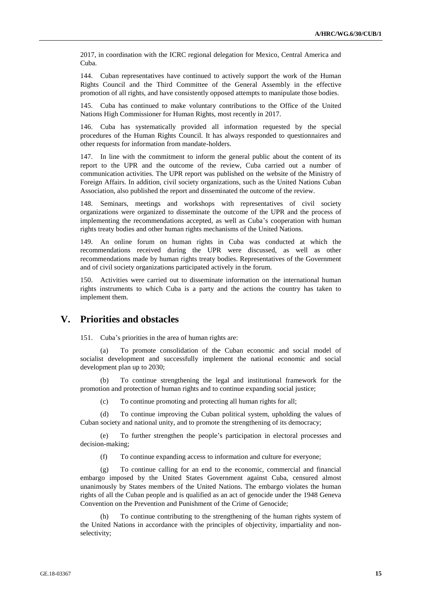2017, in coordination with the ICRC regional delegation for Mexico, Central America and Cuba.

144. Cuban representatives have continued to actively support the work of the Human Rights Council and the Third Committee of the General Assembly in the effective promotion of all rights, and have consistently opposed attempts to manipulate those bodies.

145. Cuba has continued to make voluntary contributions to the Office of the United Nations High Commissioner for Human Rights, most recently in 2017.

146. Cuba has systematically provided all information requested by the special procedures of the Human Rights Council. It has always responded to questionnaires and other requests for information from mandate-holders.

147. In line with the commitment to inform the general public about the content of its report to the UPR and the outcome of the review, Cuba carried out a number of communication activities. The UPR report was published on the website of the Ministry of Foreign Affairs. In addition, civil society organizations, such as the United Nations Cuban Association, also published the report and disseminated the outcome of the review.

148. Seminars, meetings and workshops with representatives of civil society organizations were organized to disseminate the outcome of the UPR and the process of implementing the recommendations accepted, as well as Cuba's cooperation with human rights treaty bodies and other human rights mechanisms of the United Nations.

149. An online forum on human rights in Cuba was conducted at which the recommendations received during the UPR were discussed, as well as other recommendations made by human rights treaty bodies. Representatives of the Government and of civil society organizations participated actively in the forum.

150. Activities were carried out to disseminate information on the international human rights instruments to which Cuba is a party and the actions the country has taken to implement them.

## **V. Priorities and obstacles**

151. Cuba's priorities in the area of human rights are:

(a) To promote consolidation of the Cuban economic and social model of socialist development and successfully implement the national economic and social development plan up to 2030;

(b) To continue strengthening the legal and institutional framework for the promotion and protection of human rights and to continue expanding social justice;

(c) To continue promoting and protecting all human rights for all;

(d) To continue improving the Cuban political system, upholding the values of Cuban society and national unity, and to promote the strengthening of its democracy;

(e) To further strengthen the people's participation in electoral processes and decision-making;

(f) To continue expanding access to information and culture for everyone;

(g) To continue calling for an end to the economic, commercial and financial embargo imposed by the United States Government against Cuba, censured almost unanimously by States members of the United Nations. The embargo violates the human rights of all the Cuban people and is qualified as an act of genocide under the 1948 Geneva Convention on the Prevention and Punishment of the Crime of Genocide;

(h) To continue contributing to the strengthening of the human rights system of the United Nations in accordance with the principles of objectivity, impartiality and nonselectivity;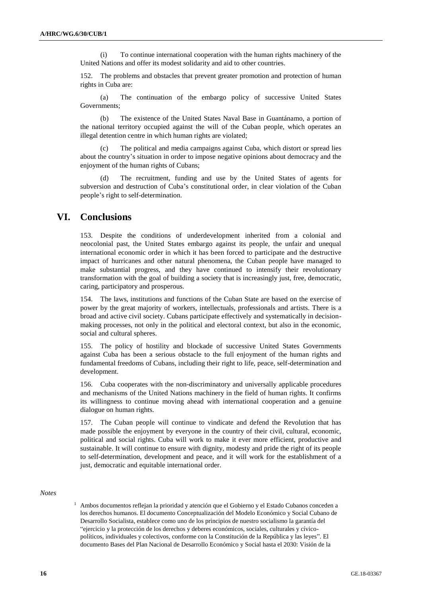(i) To continue international cooperation with the human rights machinery of the United Nations and offer its modest solidarity and aid to other countries.

152. The problems and obstacles that prevent greater promotion and protection of human rights in Cuba are:

(a) The continuation of the embargo policy of successive United States Governments;

(b) The existence of the United States Naval Base in Guantánamo, a portion of the national territory occupied against the will of the Cuban people, which operates an illegal detention centre in which human rights are violated;

(c) The political and media campaigns against Cuba, which distort or spread lies about the country's situation in order to impose negative opinions about democracy and the enjoyment of the human rights of Cubans;

(d) The recruitment, funding and use by the United States of agents for subversion and destruction of Cuba's constitutional order, in clear violation of the Cuban people's right to self-determination.

## **VI. Conclusions**

153. Despite the conditions of underdevelopment inherited from a colonial and neocolonial past, the United States embargo against its people, the unfair and unequal international economic order in which it has been forced to participate and the destructive impact of hurricanes and other natural phenomena, the Cuban people have managed to make substantial progress, and they have continued to intensify their revolutionary transformation with the goal of building a society that is increasingly just, free, democratic, caring, participatory and prosperous.

154. The laws, institutions and functions of the Cuban State are based on the exercise of power by the great majority of workers, intellectuals, professionals and artists. There is a broad and active civil society. Cubans participate effectively and systematically in decisionmaking processes, not only in the political and electoral context, but also in the economic, social and cultural spheres.

155. The policy of hostility and blockade of successive United States Governments against Cuba has been a serious obstacle to the full enjoyment of the human rights and fundamental freedoms of Cubans, including their right to life, peace, self-determination and development.

156. Cuba cooperates with the non-discriminatory and universally applicable procedures and mechanisms of the United Nations machinery in the field of human rights. It confirms its willingness to continue moving ahead with international cooperation and a genuine dialogue on human rights.

157. The Cuban people will continue to vindicate and defend the Revolution that has made possible the enjoyment by everyone in the country of their civil, cultural, economic, political and social rights. Cuba will work to make it ever more efficient, productive and sustainable. It will continue to ensure with dignity, modesty and pride the right of its people to self-determination, development and peace, and it will work for the establishment of a just, democratic and equitable international order.

### *Notes*

 $<sup>1</sup>$  Ambos documentos reflejan la prioridad y atención que el Gobierno y el Estado Cubanos conceden a</sup> los derechos humanos. El documento Conceptualización del Modelo Económico y Social Cubano de Desarrollo Socialista, establece como uno de los principios de nuestro socialismo la garantía del "ejercicio y la protección de los derechos y deberes económicos, sociales, culturales y cívicopolíticos, individuales y colectivos, conforme con la Constitución de la República y las leyes". El documento Bases del Plan Nacional de Desarrollo Económico y Social hasta el 2030: Visión de la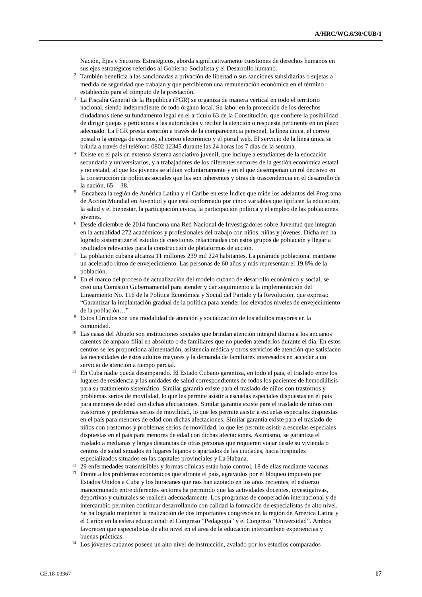Nación, Ejes y Sectores Estratégicos, aborda significativamente cuestiones de derechos humanos en sus ejes estratégicos referidos al Gobierno Socialista y el Desarrollo humano.

- <sup>2</sup> También beneficia a las sancionadas a privación de libertad o sus sanciones subsidiarias o sujetas a medida de seguridad que trabajan y que percibieron una remuneración económica en el término establecido para el cómputo de la prestación.
- <sup>3</sup> La Fiscalía General de la República (FGR) se organiza de manera vertical en todo el territorio nacional, siendo independiente de todo órgano local. Su labor en la protección de los derechos ciudadanos tiene su fundamento legal en el artículo 63 de la Constitución, que confiere la posibilidad de dirigir quejas y peticiones a las autoridades y recibir la atención o respuesta pertinente en un plazo adecuado. La FGR presta atención a través de la comparecencia personal, la línea única, el correo postal o la entrega de escritos, el correo electrónico y el portal web. El servicio de la línea única se brinda a través del teléfono 0802 12345 durante las 24 horas los 7 días de la semana.
- <sup>4</sup> Existe en el país un extenso sistema asociativo juvenil, que incluye a estudiantes de la educación secundaria y universitarios, y a trabajadores de los diferentes sectores de la gestión económica estatal y no estatal, al que los jóvenes se afilian voluntariamente y en el que desempeñan un rol decisivo en la construcción de políticas sociales que les son inherentes y otras de trascendencia en el desarrollo de la nación. 65 38.
- <sup>5</sup> Encabeza la región de América Latina y el Caribe en este Índice que mide los adelantos del Programa de Acción Mundial en Juventud y que está conformado por cinco variables que tipifican la educación, la salud y el bienestar, la participación cívica, la participación política y el empleo de las poblaciones jóvenes.
- <sup>6</sup> Desde diciembre de 2014 funciona una Red Nacional de Investigadores sobre Juventud que integran en la actualidad 272 académicos y profesionales del trabajo con niños, niñas y jóvenes. Dicha red ha logrado sistematizar el estudio de cuestiones relacionadas con estos grupos de población y llegar a resultados relevantes para la construcción de plataformas de acción.
- $^7\,$  La población cubana alcanza 11 millones 239 mil 224 habitantes. La pirámide poblacional mantiene un acelerado ritmo de envejecimiento. Las personas de 60 años y más representan el 19,8% de la población.
- <sup>8</sup> En el marco del proceso de actualización del modelo cubano de desarrollo económico y social, se creó una Comisión Gubernamental para atender y dar seguimiento a la implementación del Lineamiento No. 116 de la Política Económica y Social del Partido y la Revolución, que expresa: "Garantizar la implantación gradual de la política para atender los elevados niveles de envejecimiento de la población...'
- <sup>9</sup> Estos Círculos son una modalidad de atención y socialización de los adultos mayores en la comunidad.
- <sup>10</sup> Las casas del Abuelo son instituciones sociales que brindan atención integral diurna a los ancianos carentes de amparo filial en absoluto o de familiares que no pueden atenderlos durante el día. En estos centros se les proporciona alimentación, asistencia médica y otros servicios de atención que satisfacen las necesidades de estos adultos mayores y la demanda de familiares interesados en acceder a un servicio de atención a tiempo parcial.
- <sup>11</sup> En Cuba nadie queda desamparado. El Estado Cubano garantiza, en todo el país, el traslado entre los lugares de residencia y las unidades de salud correspondientes de todos los pacientes de hemodiálisis para su tratamiento sistemático. Similar garantía existe para el traslado de niños con trastornos y problemas serios de movilidad, lo que les permite asistir a escuelas especiales dispuestas en el país para menores de edad con dichas afectaciones. Similar garantía existe para el traslado de niños con trastornos y problemas serios de movilidad, lo que les permite asistir a escuelas especiales dispuestas en el país para menores de edad con dichas afectaciones. Similar garantía existe para el traslado de niños con trastornos y problemas serios de movilidad, lo que les permite asistir a escuelas especiales dispuestas en el país para menores de edad con dichas afectaciones. Asimismo, se garantiza el traslado a medianas y largas distancias de otras personas que requieren viajar desde su vivienda o centros de salud situados en lugares lejanos o apartados de las ciudades, hacia hospitales especializados situados en las capitales provinciales y La Habana.
- <sup>12</sup> 29 enfermedades transmisibles y formas clínicas están bajo control, 18 de ellas mediante vacunas.
- <sup>13</sup> Frente a los problemas económicos que afronta el país, agravados por el bloqueo impuesto por Estados Unidos a Cuba y los huracanes que nos han azotado en los años recientes, el esfuerzo mancomunado entre diferentes sectores ha permitido que las actividades docentes, investigativas, deportivas y culturales se realicen adecuadamente. Los programas de cooperación internacional y de intercambio permiten continuar desarrollando con calidad la formación de especialistas de alto nivel. Se ha logrado mantener la realización de dos importantes congresos en la región de América Latina y el Caribe en la esfera educacional: el Congreso "Pedagogía" y el Congreso "Universidad". Ambos favorecen que especialistas de alto nivel en el área de la educación intercambien experiencias y buenas prácticas.
- <sup>14</sup> Los jóvenes cubanos poseen un alto nivel de instrucción, avalado por los estudios comparados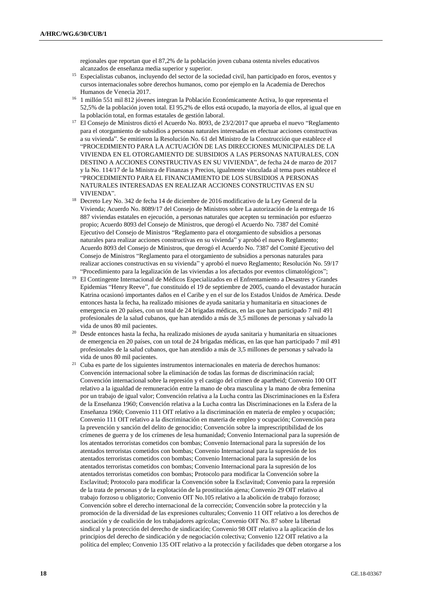regionales que reportan que el 87,2% de la población joven cubana ostenta niveles educativos alcanzados de enseñanza media superior y superior.

- <sup>15</sup> Especialistas cubanos, incluyendo del sector de la sociedad civil, han participado en foros, eventos y cursos internacionales sobre derechos humanos, como por ejemplo en la Academia de Derechos Humanos de Venecia 2017.
- <sup>16</sup> 1 millón 551 mil 812 jóvenes integran la Población Económicamente Activa, lo que representa el 52,5% de la población joven total. El 95,2% de ellos está ocupado, la mayoría de ellos, al igual que en la población total, en formas estatales de gestión laboral.
- <sup>17</sup> El Consejo de Ministros dictó el Acuerdo No. 8093, de 23/2/2017 que aprueba el nuevo "Reglamento para el otorgamiento de subsidios a personas naturales interesadas en efectuar acciones constructivas a su vivienda". Se emitieron la Resolución No. 61 del Ministro de la Construcción que establece el "PROCEDIMIENTO PARA LA ACTUACIÓN DE LAS DIRECCIONES MUNICIPALES DE LA VIVIENDA EN EL OTORGAMIENTO DE SUBSIDIOS A LAS PERSONAS NATURALES, CON DESTINO A ACCIONES CONSTRUCTIVAS EN SU VIVIENDA", de fecha 24 de marzo de 2017 y la No. 114/17 de la Ministra de Finanzas y Precios, igualmente vinculada al tema pues establece el "PROCEDIMIENTO PARA EL FINANCIAMIENTO DE LOS SUBSIDIOS A PERSONAS NATURALES INTERESADAS EN REALIZAR ACCIONES CONSTRUCTIVAS EN SU VIVIENDA".
- <sup>18</sup> Decreto Ley No. 342 de fecha 14 de diciembre de 2016 modificativo de la Ley General de la Vivienda; Acuerdo No. 8089/17 del Consejo de Ministros sobre La autorización de la entrega de 16 887 viviendas estatales en ejecución, a personas naturales que acepten su terminación por esfuerzo propio; Acuerdo 8093 del Consejo de Ministros, que derogó el Acuerdo No. 7387 del Comité Ejecutivo del Consejo de Ministros "Reglamento para el otorgamiento de subsidios a personas naturales para realizar acciones constructivas en su vivienda" y aprobó el nuevo Reglamento; Acuerdo 8093 del Consejo de Ministros, que derogó el Acuerdo No. 7387 del Comité Ejecutivo del Consejo de Ministros "Reglamento para el otorgamiento de subsidios a personas naturales para realizar acciones constructivas en su vivienda" y aprobó el nuevo Reglamento; Resolución No. 59/17 "Procedimiento para la legalización de las viviendas a los afectados por eventos climatológicos";
- <sup>19</sup> El Contingente Internacional de Médicos Especializados en el Enfrentamiento a Desastres y Grandes Epidemias "Henry Reeve", fue constituido el 19 de septiembre de 2005, cuando el devastador huracán Katrina ocasionó importantes daños en el Caribe y en el sur de los Estados Unidos de América. Desde entonces hasta la fecha, ha realizado misiones de ayuda sanitaria y humanitaria en situaciones de emergencia en 20 países, con un total de 24 brigadas médicas, en las que han participado 7 mil 491 profesionales de la salud cubanos, que han atendido a más de 3,5 millones de personas y salvado la vida de unos 80 mil pacientes.
- <sup>20</sup> Desde entonces hasta la fecha, ha realizado misiones de ayuda sanitaria y humanitaria en situaciones de emergencia en 20 países, con un total de 24 brigadas médicas, en las que han participado 7 mil 491 profesionales de la salud cubanos, que han atendido a más de 3,5 millones de personas y salvado la vida de unos 80 mil pacientes.
- <sup>21</sup> Cuba es parte de los siguientes instrumentos internacionales en materia de derechos humanos: Convención internacional sobre la eliminación de todas las formas de discriminación racial; Convención internacional sobre la represión y el castigo del crimen de apartheid; Convenio 100 OIT relativo a la igualdad de remuneración entre la mano de obra masculina y la mano de obra femenina por un trabajo de igual valor; Convención relativa a la Lucha contra las Discriminaciones en la Esfera de la Enseñanza 1960; Convención relativa a la Lucha contra las Discriminaciones en la Esfera de la Enseñanza 1960; Convenio 111 OIT relativo a la discriminación en materia de empleo y ocupación; Convenio 111 OIT relativo a la discriminación en materia de empleo y ocupación; Convención para la prevención y sanción del delito de genocidio; Convención sobre la imprescriptibilidad de los crímenes de guerra y de los crímenes de lesa humanidad; Convenio Internacional para la supresión de los atentados terroristas cometidos con bombas; Convenio Internacional para la supresión de los atentados terroristas cometidos con bombas; Convenio Internacional para la supresión de los atentados terroristas cometidos con bombas; Convenio Internacional para la supresión de los atentados terroristas cometidos con bombas; Convenio Internacional para la supresión de los atentados terroristas cometidos con bombas; Protocolo para modificar la Convención sobre la Esclavitud; Protocolo para modificar la Convención sobre la Esclavitud; Convenio para la represión de la trata de personas y de la explotación de la prostitución ajena; Convenio 29 OIT relativo al trabajo forzoso u obligatorio; Convenio OIT No.105 relativo a la abolición de trabajo forzoso; Convención sobre el derecho internacional de la corrección; Convención sobre la protección y la promoción de la diversidad de las expresiones culturales; Convenio 11 OIT relativo a los derechos de asociación y de coalición de los trabajadores agrícolas; Convenio OIT No. 87 sobre la libertad sindical y la protección del derecho de sindicación; Convenio 98 OIT relativo a la aplicación de los principios del derecho de sindicación y de negociación colectiva; Convenio 122 OIT relativo a la política del empleo; Convenio 135 OIT relativo a la protección y facilidades que deben otorgarse a los